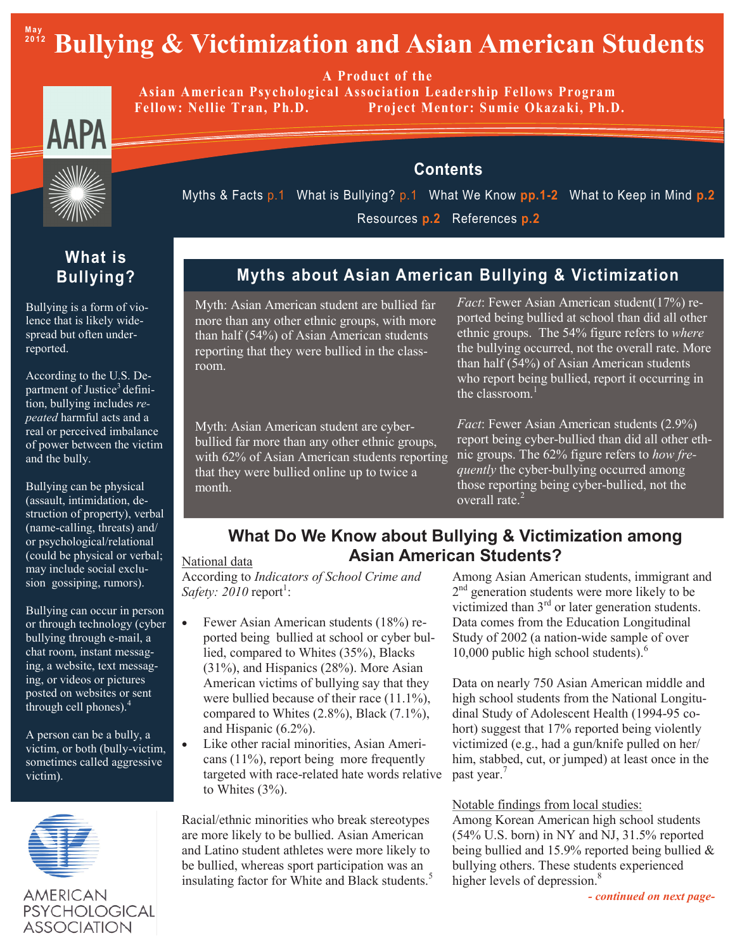# Bullying & Victimization and Asian American Students

A Product of the

Asian American Psychological Association Leadership Fellows Program Project Mentor: Sumie Okazaki, Ph.D. **Fellow: Nellie Tran, Ph.D.** 



**Contents** 



Myths & Facts p.1 What is Bullying? p.1 What We Know pp.1-2 What to Keep in Mind p.2 Resources p.2 References p.2

## Myths about Asian American Bullying & Victimization

Myth: Asian American student are bullied far more than any other ethnic groups, with more than half (54%) of Asian American students reporting that they were bullied in the classroom.

Myth: Asian American student are cyberbullied far more than any other ethnic groups, with 62% of Asian American students reporting that they were bullied online up to twice a month.

*Fact*: Fewer Asian American student(17%) reported being bullied at school than did all other ethnic groups. The 54% figure refers to where the bullying occurred, not the overall rate. More than half  $(54\%)$  of Asian American students who report being bullied, report it occurring in the classroom  $<sup>1</sup>$ </sup>

*Fact*: Fewer Asian American students (2.9%) report being cyber-bullied than did all other ethnic groups. The 62% figure refers to *how frequently* the cyber-bullying occurred among those reporting being cyber-bullied, not the overall rate.<sup>2</sup>

### What Do We Know about Bullying & Victimization among **Asian American Students?**

#### National data

According to Indicators of School Crime and *Safety:* 2010 report<sup>1</sup>:

- Fewer Asian American students (18%) re- $\bullet$ ported being bullied at school or cyber bullied, compared to Whites (35%), Blacks  $(31\%)$ , and Hispanics  $(28\%)$ . More Asian American victims of bullying say that they were bullied because of their race  $(11.1\%)$ , compared to Whites  $(2.8\%)$ , Black  $(7.1\%)$ , and Hispanic  $(6.2\%)$ .
	- Like other racial minorities, Asian Americans  $(11\%)$ , report being more frequently targeted with race-related hate words relative to Whites  $(3\%)$ .

Racial/ethnic minorities who break stereotypes are more likely to be bullied. Asian American and Latino student athletes were more likely to be bullied, whereas sport participation was an insulating factor for White and Black students.<sup>5</sup> Among Asian American students, immigrant and  $2<sup>nd</sup>$  generation students were more likely to be victimized than  $3<sup>rd</sup>$  or later generation students. Data comes from the Education Longitudinal Study of 2002 (a nation-wide sample of over 10,000 public high school students). $<sup>6</sup>$ </sup>

Data on nearly 750 Asian American middle and high school students from the National Longitudinal Study of Adolescent Health (1994-95 cohort) suggest that 17% reported being violently victimized (e.g., had a gun/knife pulled on her/ him, stabbed, cut, or jumped) at least once in the past year.<sup>7</sup>

Notable findings from local studies:

Among Korean American high school students (54% U.S. born) in NY and NJ, 31.5% reported being bullied and 15.9% reported being bullied  $&$ bullying others. These students experienced higher levels of depression.<sup>8</sup>

#### - continued on next page-

## **What is Bullying?**

Bullying is a form of violence that is likely widespread but often underreported.

According to the U.S. Department of Justice<sup>3</sup> definition, bullying includes re*peated* harmful acts and a real or perceived imbalance of power between the victim and the bully.

Bullying can be physical (assault, intimidation, destruction of property), verbal (name-calling, threats) and/ or psychological/relational (could be physical or verbal; may include social exclusion gossiping, rumors).

Bullying can occur in person or through technology (cyber bullying through e-mail, a chat room, instant messaging, a website, text messaging, or videos or pictures posted on websites or sent through cell phones).<sup>4</sup>

A person can be a bully, a victim, or both (bully-victim, sometimes called aggressive victim).